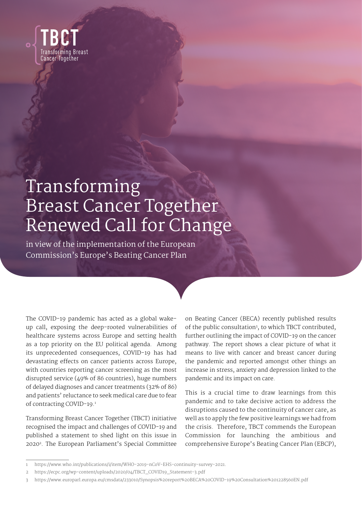

# Transforming Breast Cancer Together Renewed Call for Change

in view of the implementation of the European Commission's Europe's Beating Cancer Plan

The COVID-19 pandemic has acted as a global wakeup call, exposing the deep-rooted vulnerabilities of healthcare systems across Europe and setting health as a top priority on the EU political agenda. Among its unprecedented consequences, COVID-19 has had devastating effects on cancer patients across Europe, with countries reporting cancer screening as the most disrupted service (49% of 86 countries), huge numbers of delayed diagnoses and cancer treatments (32% of 86) and patients' reluctance to seek medical care due to fear of contracting COVID-19.1

Transforming Breast Cancer Together (TBCT) initiative recognised the impact and challenges of COVID-19 and published a statement to shed light on this issue in 20202. The European Parliament's Special Committee

on Beating Cancer (BECA) recently published results of the public consultation<sup>3</sup>, to which TBCT contributed, further outlining the impact of COVID-19 on the cancer pathway. The report shows a clear picture of what it means to live with cancer and breast cancer during the pandemic and reported amongst other things an increase in stress, anxiety and depression linked to the pandemic and its impact on care.

This is a crucial time to draw learnings from this pandemic and to take decisive action to address the disruptions caused to the continuity of cancer care, as well as to apply the few positive learnings we had from the crisis. Therefore, TBCT commends the European Commission for launching the ambitious and comprehensive Europe's Beating Cancer Plan (EBCP),

<sup>1</sup> [https://www.who.int/publications/i/item/WHO-2019-nCoV-EHS-continuity-survey-2021.](https://www.who.int/publications/i/item/WHO-2019-nCoV-EHS-continuity-survey-2021)

<sup>2</sup> [https://ecpc.org/wp-content/uploads/2020/04/TBCT\\_COVID19\\_Statement-3.pdf](https://ecpc.org/wp-content/uploads/2020/04/TBCT_COVID19_Statement-3.pdf) 

<sup>3</sup> <https://www.europarl.europa.eu/cmsdata/233010/Synopsis%20report%20BECA%20COVID-19%20Consultation%201228560EN.pdf>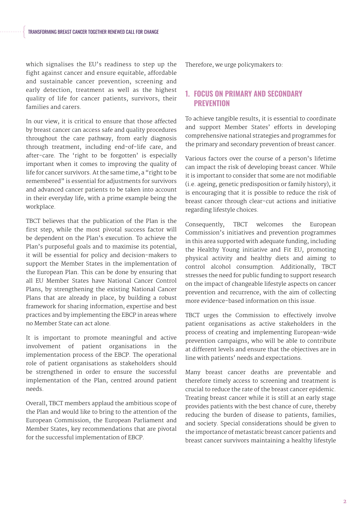which signalises the EU's readiness to step up the fight against cancer and ensure equitable, affordable and sustainable cancer prevention, screening and early detection, treatment as well as the highest quality of life for cancer patients, survivors, their families and carers.

In our view, it is critical to ensure that those affected by breast cancer can access safe and quality procedures throughout the care pathway, from early diagnosis through treatment, including end-of-life care, and after-care. The 'right to be forgotten' is especially important when it comes to improving the quality of life for cancer survivors. At the same time, a "right to be remembered" is essential for adjustments for survivors and advanced cancer patients to be taken into account in their everyday life, with a prime example being the workplace.

TBCT believes that the publication of the Plan is the first step, while the most pivotal success factor will be dependent on the Plan's execution. To achieve the Plan's purposeful goals and to maximise its potential, it will be essential for policy and decision-makers to support the Member States in the implementation of the European Plan. This can be done by ensuring that all EU Member States have National Cancer Control Plans, by strengthening the existing National Cancer Plans that are already in place, by building a robust framework for sharing information, expertise and best practices and by implementing the EBCP in areas where no Member State can act alone.

It is important to promote meaningful and active involvement of patient organisations in the implementation process of the EBCP. The operational role of patient organisations as stakeholders should be strengthened in order to ensure the successful implementation of the Plan, centred around patient needs.

Overall, TBCT members applaud the ambitious scope of the Plan and would like to bring to the attention of the European Commission, the European Parliament and Member States, key recommendations that are pivotal for the successful implementation of EBCP.

Therefore, we urge policymakers to:

#### 1. FOCUS ON PRIMARY AND SECONDARY **PREVENTION**

To achieve tangible results, it is essential to coordinate and support Member States' efforts in developing comprehensive national strategies and programmes for the primary and secondary prevention of breast cancer.

Various factors over the course of a person's lifetime can impact the risk of developing breast cancer. While it is important to consider that some are not modifiable (i.e. ageing, genetic predisposition or family history), it is encouraging that it is possible to reduce the risk of breast cancer through clear-cut actions and initiative regarding lifestyle choices.

Consequently, TBCT welcomes the European Commission's initiatives and prevention programmes in this area supported with adequate funding, including the Healthy Young initiative and Fit EU, promoting physical activity and healthy diets and aiming to control alcohol consumption. Additionally, TBCT stresses the need for public funding to support research on the impact of changeable lifestyle aspects on cancer prevention and recurrence, with the aim of collecting more evidence-based information on this issue.

TBCT urges the Commission to effectively involve patient organisations as active stakeholders in the process of creating and implementing European-wide prevention campaigns, who will be able to contribute at different levels and ensure that the objectives are in line with patients' needs and expectations.

Many breast cancer deaths are preventable and therefore timely access to screening and treatment is crucial to reduce the rate of the breast cancer epidemic. Treating breast cancer while it is still at an early stage provides patients with the best chance of cure, thereby reducing the burden of disease to patients, families, and society. Special considerations should be given to the importance of metastatic breast cancer patients and breast cancer survivors maintaining a healthy lifestyle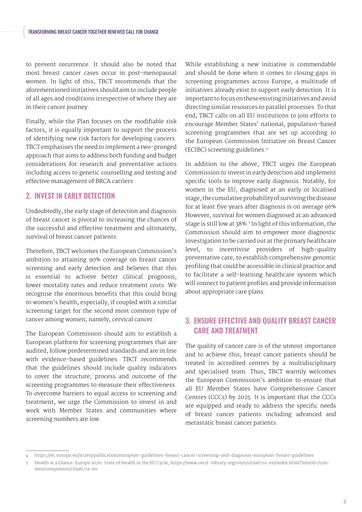to prevent recurrence. It should also be noted that most breast cancer cases occur in post-menopausal women. In light of this, TBCT recommends that the aforementioned initiatives should aim to include people of all ages and conditions irrespective of where they are in their cancer journey.

Finally, while the Plan focuses on the modifiable risk factors, it is equally important to support the process of identifying new risk factors for developing cancers. TBCT emphasises the need to implement a two-pronged approach that aims to address both funding and budget considerations for research and preventative actions including access to genetic counselling and testing and effective management of BRCA carriers.

## 2. INVEST IN EARLY DETECTION

Undoubtedly, the early stage of detection and diagnosis of breast cancer is pivotal to increasing the chances of the successful and effective treatment and ultimately, survival of breast cancer patients.

Therefore, TBCT welcomes the European Commission's ambition to attaining 90% coverage on breast cancer screening and early detection and believes that this is essential to achieve better clinical prognosis, lower mortality rates and reduce treatment costs. We recognise the enormous benefits that this could bring to women's health, especially, if coupled with a similar screening target for the second most common type of cancer among women, namely, cervical cancer.

The European Commission should aim to establish a European platform for screening programmes that are audited, follow predetermined standards and are in line with evidence-based guidelines. TBCT recommends that the guidelines should include quality indicators to cover the structure, process and outcome of the screening programmes to measure their effectiveness. To overcome barriers to equal access to screening and treatment, we urge the Commission to invest in and work with Member States and communities where screening numbers are low.

While establishing a new initiative is commendable and should be done when it comes to closing gaps in screening programmes across Europe, a multitude of initiatives already exist to support early detection. It is important to focus on these existing initiatives and avoid directing similar resources to parallel processes. To that end, TBCT calls on all EU institutions to join efforts to encourage Member States' national, population-based screening programmes that are set up according to the European Commission Initiative on Breast Cancer (ECIBC) screening guidelines.4

In addition to the above, TBCT urges the European Commission to invest in early detection and implement specific tools to improve early diagnosis. Notably, for women in the EU, diagnosed at an early or localised stage, the cumulative probability of surviving the disease for at least five years after diagnosis is on average 96% However, survival for women diagnosed at an advanced stage is still low at 38%.5 In light of this information, the Commission should aim to empower more diagnostic investigation to be carried out at the primary healthcare level, to incentivise providers of high-quality preventative care, to establish comprehensive genomic profiling that could be accessible in clinical practice and to facilitate a self-learning healthcare system which will connect to patient profiles and provide information about appropriate care plans.

# 3. ENSURE EFFECTIVE AND QUALITY BREAST CANCER CARE AND TREATMENT

The quality of cancer care is of the utmost importance and to achieve this, breast cancer patients should be treated in accredited centres by a multidisciplinary and specialised team. Thus, TBCT warmly welcomes the European Commission's ambition to ensure that all EU Member States have Comprehensive Cancer Centres (CCCs) by 2025. It is important that the CCCs are equipped and ready to address the specific needs of breast cancer patients including advanced and metastatic breast cancer patients.

<sup>4</sup> https://ec.europa.eu/jrc/en/publication/european-guidelines-breast-cancer-screening-and-diagnosis-european-breast-guidelines

<sup>5</sup> Health at a Glance: Europe 2020: State of Health in the EU Cycle, [https://www.oecd-ilibrary.org/sites/c63a671a-en/index.html?itemId=/con](https://www.oecd-ilibrary.org/sites/c63a671a-en/index.html?itemId=/content/component/c63a671a-en)[tent/component/c63a671a-en](https://www.oecd-ilibrary.org/sites/c63a671a-en/index.html?itemId=/content/component/c63a671a-en)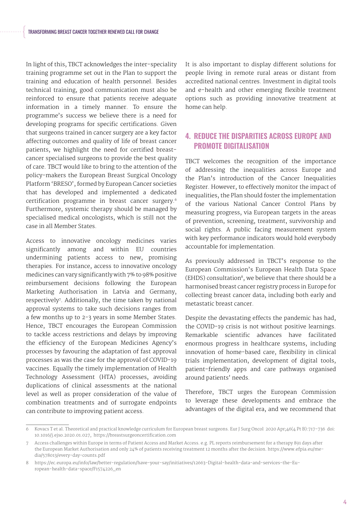In light of this, TBCT acknowledges the inter-speciality training programme set out in the Plan to support the training and education of health personnel. Besides technical training, good communication must also be reinforced to ensure that patients receive adequate information in a timely manner. To ensure the programme's success we believe there is a need for developing programs for specific certifications. Given that surgeons trained in cancer surgery are a key factor affecting outcomes and quality of life of breast cancer patients, we highlight the need for certified breastcancer specialised surgeons to provide the best quality of care. TBCT would like to bring to the attention of the policy-makers the European Breast Surgical Oncology Platform 'BRESO', formed by European Cancer societies that has developed and implemented a dedicated certification programme in breast cancer surgery.<sup>6</sup> Furthermore, systemic therapy should be managed by specialised medical oncologists, which is still not the case in all Member States.

Access to innovative oncology medicines varies significantly among and within EU countries undermining patients access to new, promising therapies. For instance, access to innovative oncology medicines can vary significantly with 7% to 98% positive reimbursement decisions following the European Marketing Authorisation in Latvia and Germany, respectively<sup>7</sup>. Additionally, the time taken by national approval systems to take such decisions ranges from a few months up to 2-3 years in some Member States. Hence, TBCT encourages the European Commission to tackle access restrictions and delays by improving the efficiency of the European Medicines Agency's processes by favouring the adaptation of fast approval processes as was the case for the approval of COVID-19 vaccines. Equally the timely implementation of Health Technology Assessment (HTA) processes, avoiding duplications of clinical assessments at the national level as well as proper consideration of the value of combination treatments and of surrogate endpoints can contribute to improving patient access.

It is also important to display different solutions for people living in remote rural areas or distant from accredited national centres. Investment in digital tools and e-health and other emerging flexible treatment options such as providing innovative treatment at home can help.

# 4. REDUCE THE DISPARITIES ACROSS EUROPE AND PROMOTE DIGITALISATION

TBCT welcomes the recognition of the importance of addressing the inequalities across Europe and the Plan's introduction of the Cancer Inequalities Register. However, to effectively monitor the impact of inequalities, the Plan should foster the implementation of the various National Cancer Control Plans by measuring progress, via European targets in the areas of prevention, screening, treatment, survivorship and social rights. A public facing measurement system with key performance indicators would hold everybody accountable for implementation.

As previously addressed in TBCT's response to the European Commission's European Health Data Space  $(EHDS)$  consultation<sup>8</sup>, we believe that there should be a harmonised breast cancer registry process in Europe for collecting breast cancer data, including both early and metastatic breast cancer.

Despite the devastating effects the pandemic has had, the COVID-19 crisis is not without positive learnings. Remarkable scientific advances have facilitated enormous progress in healthcare systems, including innovation of home-based care, flexibility in clinical trials implementation, development of digital tools, patient-friendly apps and care pathways organised around patients' needs.

Therefore, TBCT urges the European Commission to leverage these developments and embrace the advantages of the digital era, and we recommend that

<sup>6</sup> Kovacs T et al. Theoretical and practical knowledge curriculum for European breast surgeons. Eur J Surg Oncol 2020 Apr;46(4 Pt B):717-736 doi: 10.1016/j.ejso.2020.01.027,<https://breastsurgeoncertification.com>

Access challenges within Europe in terms of Patient Access and Market Access. e.g. PL reports reimbursement for a therapy 891 days after the European Market Authorisation and only 24% of patients receiving treatment 12 months after the decision. [https://www.efpia.eu/me](https://www.efpia.eu/media/578013/every-day-counts.pdf)[dia/578013/every-day-counts.pdf](https://www.efpia.eu/media/578013/every-day-counts.pdf)

<sup>8</sup> [https://ec.europa.eu/info/law/better-regulation/have-your-say/initiatives/12663-Digital-health-data-and-services-the-Eu](https://ec.europa.eu/info/law/better-regulation/have-your-say/initiatives/12663-Digital-health-data-and-services-the-European-health-data-space/F1574226_en)[ropean-health-data-space/F1574226\\_en](https://ec.europa.eu/info/law/better-regulation/have-your-say/initiatives/12663-Digital-health-data-and-services-the-European-health-data-space/F1574226_en)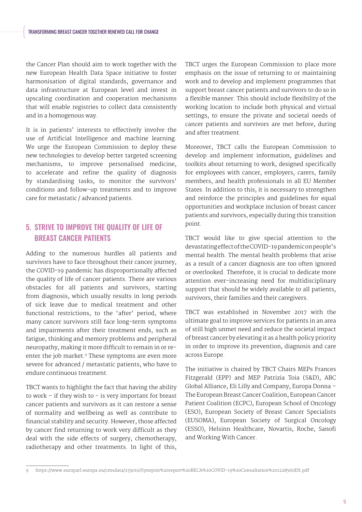the Cancer Plan should aim to work together with the new European Health Data Space initiative to foster harmonisation of digital standards, governance and data infrastructure at European level and invest in upscaling coordination and cooperation mechanisms that will enable registries to collect data consistently and in a homogenous way.

It is in patients' interests to effectively involve the use of Artificial Intelligence and machine learning. We urge the European Commission to deploy these new technologies to develop better targeted screening mechanisms, to improve personalised medicine, to accelerate and refine the quality of diagnosis by standardising tasks, to monitor the survivors' conditions and follow-up treatments and to improve care for metastatic / advanced patients.

# 5. STRIVE TO IMPROVE THE QUALITY OF LIFE OF BREAST CANCER PATIENTS

Adding to the numerous hurdles all patients and survivors have to face throughout their cancer journey, the COVID-19 pandemic has disproportionally affected the quality of life of cancer patients. There are various obstacles for all patients and survivors, starting from diagnosis, which usually results in long periods of sick leave due to medical treatment and other functional restrictions, to the 'after' period, where many cancer survivors still face long-term symptoms and impairments after their treatment ends, such as fatigue, thinking and memory problems and peripheral neuropathy, making it more difficult to remain in or reenter the job market.<sup>9</sup> These symptoms are even more severe for advanced / metastatic patients, who have to endure continuous treatment.

TBCT wants to highlight the fact that having the ability to work  $-$  if they wish to  $-$  is very important for breast cancer patients and survivors as it can restore a sense of normality and wellbeing as well as contribute to financial stability and security. However, those affected by cancer find returning to work very difficult as they deal with the side effects of surgery, chemotherapy, radiotherapy and other treatments. In light of this, TBCT urges the European Commission to place more emphasis on the issue of returning to or maintaining work and to develop and implement programmes that support breast cancer patients and survivors to do so in a flexible manner. This should include flexibility of the working location to include both physical and virtual settings, to ensure the private and societal needs of cancer patients and survivors are met before, during and after treatment.

Moreover, TBCT calls the European Commission to develop and implement information, guidelines and toolkits about returning to work, designed specifically for employees with cancer, employers, carers, family members, and health professionals in all EU Member States. In addition to this, it is necessary to strengthen and reinforce the principles and guidelines for equal opportunities and workplace inclusion of breast cancer patients and survivors, especially during this transition point.

TBCT would like to give special attention to the devastating effect of the COVID-19 pandemic on people's mental health. The mental health problems that arise as a result of a cancer diagnosis are too often ignored or overlooked. Therefore, it is crucial to dedicate more attention ever-increasing need for multidisciplinary support that should be widely available to all patients, survivors, their families and their caregivers.

TBCT was established in November 2017 with the ultimate goal to improve services for patients in an area of still high unmet need and reduce the societal impact of breast cancer by elevating it as a health policy priority in order to improve its prevention, diagnosis and care across Europe.

The initiative is chaired by TBCT Chairs MEPs Frances Fitzgerald (EPP) and MEP Patrizia Toia (S&D), ABC Global Alliance, Eli Lilly and Company, Europa Donna – The European Breast Cancer Coalition, European Cancer Patient Coalition (ECPC), European School of Oncology (ESO), European Society of Breast Cancer Specialists (EUSOMA), European Society of Surgical Oncology (ESSO), Helsinn Healthcare, Novartis, Roche, Sanofi and Working With Cancer.

<sup>9</sup> https://www.europarl.europa.eu/cmsdata/233010/Synopsis%20report%20BECA%20COVID-19%20Consultation%201228560EN.pdf